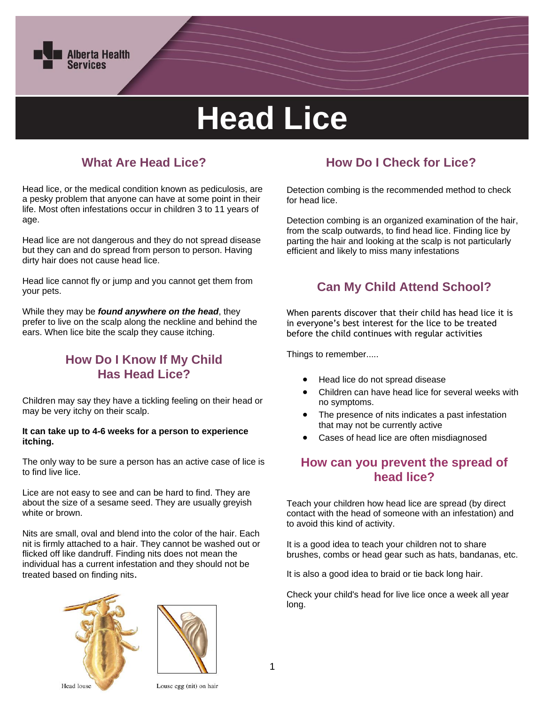

# **Head Lice**

# **What Are Head Lice?**

Head lice, or the medical condition known as pediculosis, are a pesky problem that anyone can have at some point in their life. Most often infestations occur in children 3 to 11 years of age.

Head lice are not dangerous and they do not spread disease but they can and do spread from person to person. Having dirty hair does not cause head lice.

Head lice cannot fly or jump and you cannot get them from your pets.

While they may be *found anywhere on the head*, they prefer to live on the scalp along the neckline and behind the ears. When lice bite the scalp they cause itching.

## **How Do I Know If My Child Has Head Lice?**

Children may say they have a tickling feeling on their head or may be very itchy on their scalp.

#### **It can take up to 4-6 weeks for a person to experience itching.**

The only way to be sure a person has an active case of lice is to find live lice.

Lice are not easy to see and can be hard to find. They are about the size of a sesame seed. They are usually greyish white or brown.

Nits are small, oval and blend into the color of the hair. Each nit is firmly attached to a hair. They cannot be washed out or flicked off like dandruff. Finding nits does not mean the individual has a current infestation and they should not be treated based on finding nits.





# **How Do I Check for Lice?**

Detection combing is the recommended method to check for head lice.

Detection combing is an organized examination of the hair, from the scalp outwards, to find head lice. Finding lice by parting the hair and looking at the scalp is not particularly efficient and likely to miss many infestations

## **Can My Child Attend School?**

When parents discover that their child has head lice it is in everyone's best interest for the lice to be treated before the child continues with regular activities

Things to remember.....

- Head lice do not spread disease
- Children can have head lice for several weeks with no symptoms.
- The presence of nits indicates a past infestation that may not be currently active
- Cases of head lice are often misdiagnosed

#### **How can you prevent the spread of head lice?**

Teach your children how head lice are spread (by direct contact with the head of someone with an infestation) and to avoid this kind of activity.

It is a good idea to teach your children not to share brushes, combs or head gear such as hats, bandanas, etc.

It is also a good idea to braid or tie back long hair.

Check your child's head for live lice once a week all year long.

1

**Head** louse

Louse egg (nit) on hair